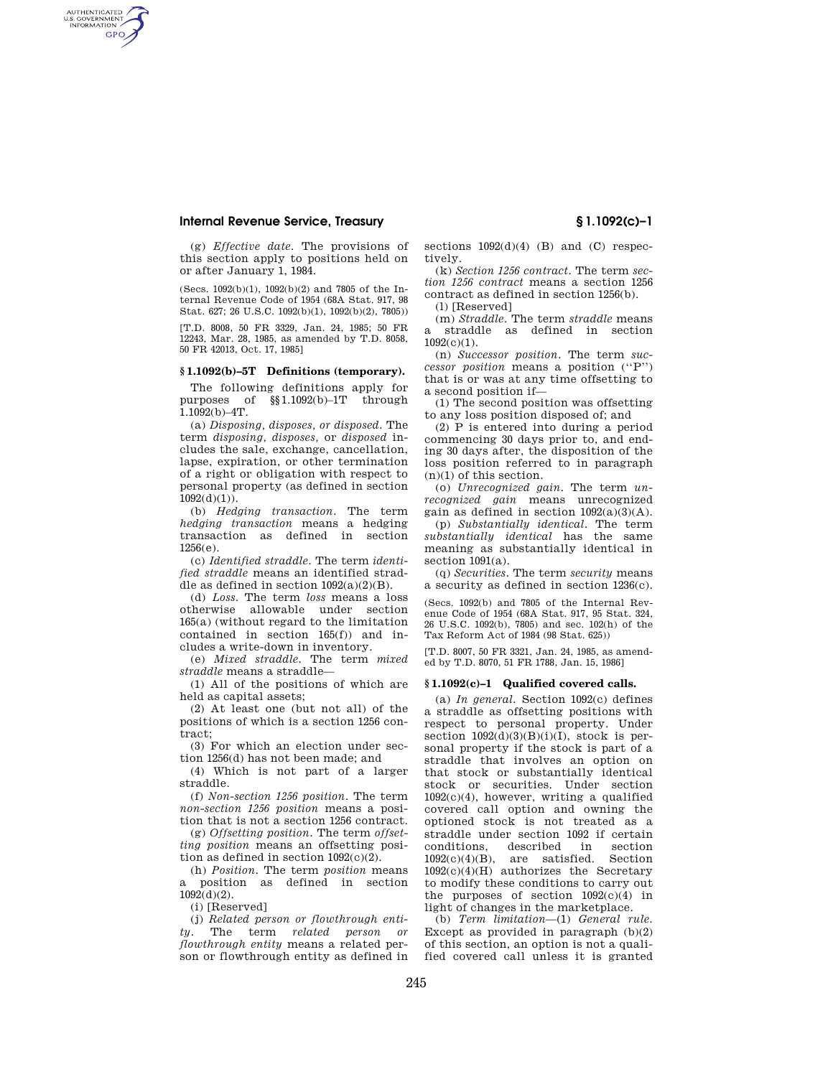## **Internal Revenue Service, Treasury § 1.1092(c)–1**

AUTHENTICATED<br>U.S. GOVERNMENT<br>INFORMATION **GPO** 

> (g) *Effective date.* The provisions of this section apply to positions held on or after January 1, 1984.

> (Secs. 1092(b)(1), 1092(b)(2) and 7805 of the Internal Revenue Code of 1954 (68A Stat. 917, 98 Stat. 627; 26 U.S.C. 1092(b)(1), 1092(b)(2), 7805))

> [T.D. 8008, 50 FR 3329, Jan. 24, 1985; 50 FR 12243, Mar. 28, 1985, as amended by T.D. 8058, 50 FR 42013, Oct. 17, 1985]

# **§ 1.1092(b)–5T Definitions (temporary).**

The following definitions apply for purposes of §§1.1092(b)–1T through 1.1092(b)–4T.

(a) *Disposing, disposes, or disposed.* The term *disposing, disposes,* or *disposed* includes the sale, exchange, cancellation, lapse, expiration, or other termination of a right or obligation with respect to personal property (as defined in section  $1092(d)(1)$ ).

(b) *Hedging transaction.* The term *hedging transaction* means a hedging transaction as defined in section 1256(e).

(c) *Identified straddle.* The term *identified straddle* means an identified straddle as defined in section  $1092(a)(2)(B)$ .

(d) *Loss.* The term *loss* means a loss otherwise allowable under section 165(a) (without regard to the limitation contained in section 165(f)) and includes a write-down in inventory.

(e) *Mixed straddle.* The term *mixed straddle* means a straddle—

(1) All of the positions of which are held as capital assets;

(2) At least one (but not all) of the positions of which is a section 1256 contract;

(3) For which an election under section 1256(d) has not been made; and

(4) Which is not part of a larger straddle.

(f) *Non-section 1256 position.* The term *non-section 1256 position* means a position that is not a section 1256 contract.

(g) *Offsetting position.* The term *offsetting position* means an offsetting position as defined in section 1092(c)(2).

(h) *Position.* The term *position* means a position as defined in section  $1092(d)(2)$ .

(i) [Reserved]

(j) *Related person or flowthrough entity.* The term *related person or flowthrough entity* means a related person or flowthrough entity as defined in sections  $1092(d)(4)$  (B) and (C) respectively.

(k) *Section 1256 contract.* The term *section 1256 contract* means a section 1256 contract as defined in section 1256(b). (l) [Reserved]

(m) *Straddle.* The term *straddle* means a straddle as defined in section 1092(c)(1).

(n) *Successor position.* The term *successor position* means a position (''P'') that is or was at any time offsetting to a second position if—

(1) The second position was offsetting to any loss position disposed of; and

(2) P is entered into during a period commencing 30 days prior to, and ending 30 days after, the disposition of the loss position referred to in paragraph  $(n)(1)$  of this section.

(o) *Unrecognized gain.* The term *unrecognized gain* means unrecognized gain as defined in section  $1092(a)(3)(A)$ .

(p) *Substantially identical.* The term *substantially identical* has the same meaning as substantially identical in section 1091(a).

(q) *Securities.* The term *security* means a security as defined in section 1236(c).

(Secs. 1092(b) and 7805 of the Internal Revenue Code of 1954 (68A Stat. 917, 95 Stat. 324, 26 U.S.C. 1092(b), 7805) and sec. 102(h) of the Tax Reform Act of 1984 (98 Stat. 625))

[T.D. 8007, 50 FR 3321, Jan. 24, 1985, as amended by T.D. 8070, 51 FR 1788, Jan. 15, 1986]

#### **§ 1.1092(c)–1 Qualified covered calls.**

(a) *In general.* Section 1092(c) defines a straddle as offsetting positions with respect to personal property. Under section  $1092(d)(3)(B)(i)(I)$ , stock is personal property if the stock is part of a straddle that involves an option on that stock or substantially identical stock or securities. Under section 1092(c)(4), however, writing a qualified covered call option and owning the optioned stock is not treated as a straddle under section 1092 if certain conditions, described in section 1092(c)(4)(B), are satisfied. Section 1092(c)(4)(H) authorizes the Secretary to modify these conditions to carry out the purposes of section  $1092(c)(4)$  in light of changes in the marketplace.

(b) *Term limitation*—(1) *General rule.*  Except as provided in paragraph  $(b)(2)$ of this section, an option is not a qualified covered call unless it is granted